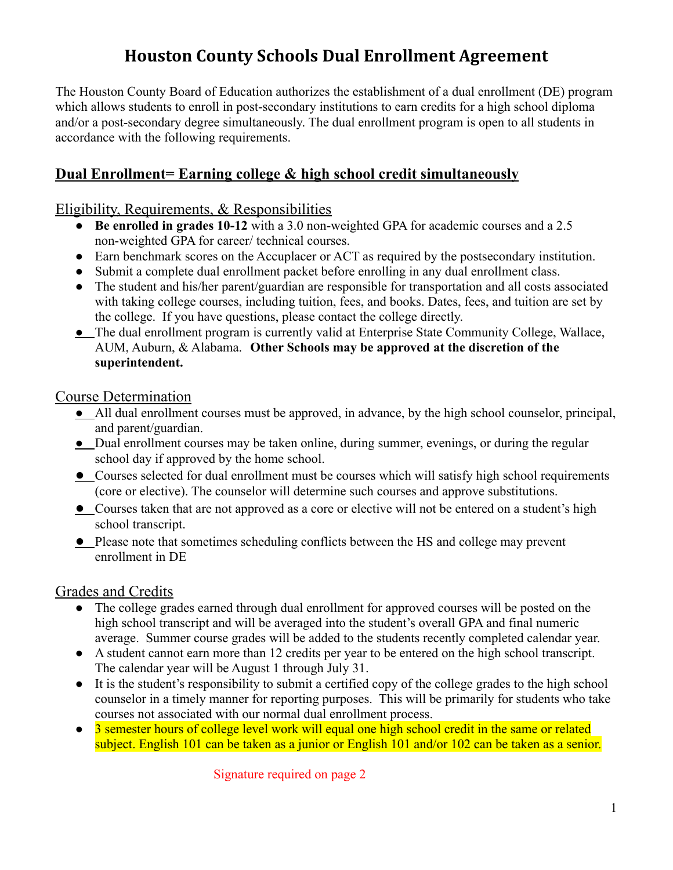# **Houston County Schools Dual Enrollment Agreement**

The Houston County Board of Education authorizes the establishment of a dual enrollment (DE) program which allows students to enroll in post-secondary institutions to earn credits for a high school diploma and/or a post-secondary degree simultaneously. The dual enrollment program is open to all students in accordance with the following requirements.

## **Dual Enrollment= Earning college & high school credit simultaneously**

#### Eligibility, Requirements, & Responsibilities

- **Be enrolled in grades 10-12** with a 3.0 non-weighted GPA for academic courses and a 2.5 non-weighted GPA for career/ technical courses.
- Earn benchmark scores on the Accuplacer or ACT as required by the postsecondary institution.
- Submit a complete dual enrollment packet before enrolling in any dual enrollment class.
- The student and his/her parent/guardian are responsible for transportation and all costs associated with taking college courses, including tuition, fees, and books. Dates, fees, and tuition are set by the college. If you have questions, please contact the college directly.
- The dual enrollment program is currently valid at Enterprise State Community College, Wallace, AUM, Auburn, & Alabama. **Other Schools may be approved at the discretion of the superintendent.**

#### Course Determination

- All dual enrollment courses must be approved, in advance, by the high school counselor, principal, and parent/guardian.
- Dual enrollment courses may be taken online, during summer, evenings, or during the regular school day if approved by the home school.
- Courses selected for dual enrollment must be courses which will satisfy high school requirements (core or elective). The counselor will determine such courses and approve substitutions.
- Courses taken that are not approved as a core or elective will not be entered on a student's high school transcript.
- Please note that sometimes scheduling conflicts between the HS and college may prevent enrollment in DE

#### Grades and Credits

- The college grades earned through dual enrollment for approved courses will be posted on the high school transcript and will be averaged into the student's overall GPA and final numeric average. Summer course grades will be added to the students recently completed calendar year.
- A student cannot earn more than 12 credits per year to be entered on the high school transcript. The calendar year will be August 1 through July 31.
- It is the student's responsibility to submit a certified copy of the college grades to the high school counselor in a timely manner for reporting purposes. This will be primarily for students who take courses not associated with our normal dual enrollment process.
- 3 semester hours of college level work will equal one high school credit in the same or related subject. English 101 can be taken as a junior or English 101 and/or 102 can be taken as a senior.

Signature required on page 2